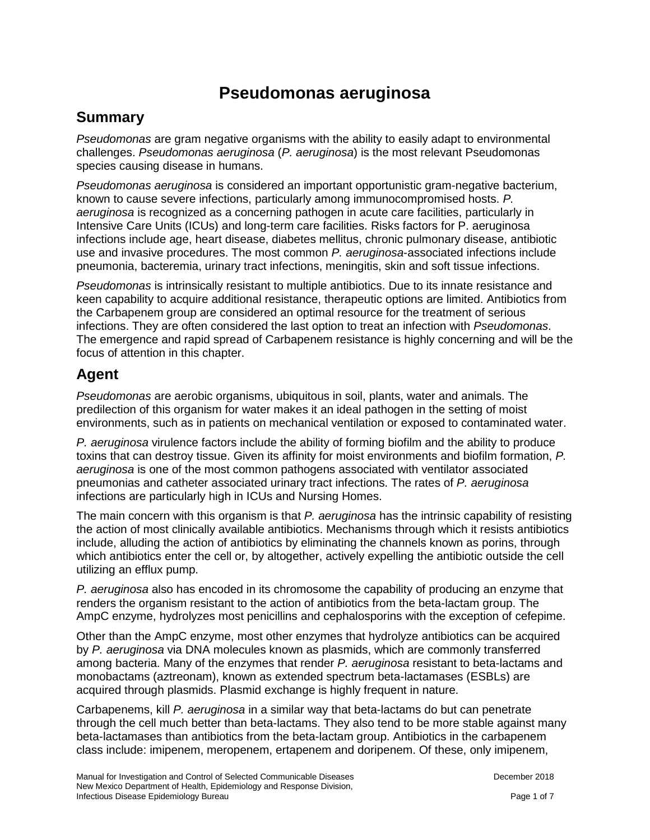# **Pseudomonas aeruginosa**

### **Summary**

*Pseudomonas* are gram negative organisms with the ability to easily adapt to environmental challenges. *Pseudomonas aeruginosa* (*P. aeruginosa*) is the most relevant Pseudomonas species causing disease in humans.

*Pseudomonas aeruginosa* is considered an important opportunistic gram-negative bacterium, known to cause severe infections, particularly among immunocompromised hosts. *P. aeruginosa* is recognized as a concerning pathogen in acute care facilities, particularly in Intensive Care Units (ICUs) and long-term care facilities. Risks factors for P. aeruginosa infections include age, heart disease, diabetes mellitus, chronic pulmonary disease, antibiotic use and invasive procedures. The most common *P. aeruginosa*-associated infections include pneumonia, bacteremia, urinary tract infections, meningitis, skin and soft tissue infections.

*Pseudomonas* is intrinsically resistant to multiple antibiotics. Due to its innate resistance and keen capability to acquire additional resistance, therapeutic options are limited. Antibiotics from the Carbapenem group are considered an optimal resource for the treatment of serious infections. They are often considered the last option to treat an infection with *Pseudomonas*. The emergence and rapid spread of Carbapenem resistance is highly concerning and will be the focus of attention in this chapter.

## **Agent**

*Pseudomonas* are aerobic organisms, ubiquitous in soil, plants, water and animals. The predilection of this organism for water makes it an ideal pathogen in the setting of moist environments, such as in patients on mechanical ventilation or exposed to contaminated water.

*P. aeruginosa* virulence factors include the ability of forming biofilm and the ability to produce toxins that can destroy tissue. Given its affinity for moist environments and biofilm formation, *P. aeruginosa* is one of the most common pathogens associated with ventilator associated pneumonias and catheter associated urinary tract infections. The rates of *P. aeruginosa* infections are particularly high in ICUs and Nursing Homes.

The main concern with this organism is that *P. aeruginosa* has the intrinsic capability of resisting the action of most clinically available antibiotics. Mechanisms through which it resists antibiotics include, alluding the action of antibiotics by eliminating the channels known as porins, through which antibiotics enter the cell or, by altogether, actively expelling the antibiotic outside the cell utilizing an efflux pump.

*P. aeruginosa* also has encoded in its chromosome the capability of producing an enzyme that renders the organism resistant to the action of antibiotics from the beta-lactam group. The AmpC enzyme, hydrolyzes most penicillins and cephalosporins with the exception of cefepime.

Other than the AmpC enzyme, most other enzymes that hydrolyze antibiotics can be acquired by *P. aeruginosa* via DNA molecules known as plasmids, which are commonly transferred among bacteria. Many of the enzymes that render *P. aeruginosa* resistant to beta-lactams and monobactams (aztreonam), known as extended spectrum beta-lactamases (ESBLs) are acquired through plasmids. Plasmid exchange is highly frequent in nature.

Carbapenems, kill *P. aeruginosa* in a similar way that beta-lactams do but can penetrate through the cell much better than beta-lactams. They also tend to be more stable against many beta-lactamases than antibiotics from the beta-lactam group. Antibiotics in the carbapenem class include: imipenem, meropenem, ertapenem and doripenem. Of these, only imipenem,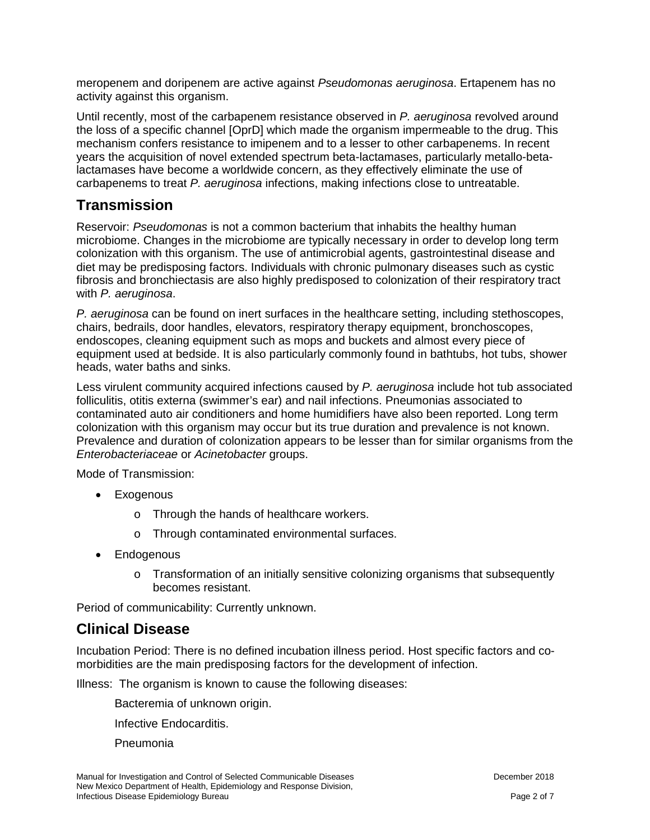meropenem and doripenem are active against *Pseudomonas aeruginosa*. Ertapenem has no activity against this organism.

Until recently, most of the carbapenem resistance observed in *P. aeruginosa* revolved around the loss of a specific channel [OprD] which made the organism impermeable to the drug. This mechanism confers resistance to imipenem and to a lesser to other carbapenems. In recent years the acquisition of novel extended spectrum beta-lactamases, particularly metallo-betalactamases have become a worldwide concern, as they effectively eliminate the use of carbapenems to treat *P. aeruginosa* infections, making infections close to untreatable.

### **Transmission**

Reservoir: *Pseudomonas* is not a common bacterium that inhabits the healthy human microbiome. Changes in the microbiome are typically necessary in order to develop long term colonization with this organism. The use of antimicrobial agents, gastrointestinal disease and diet may be predisposing factors. Individuals with chronic pulmonary diseases such as cystic fibrosis and bronchiectasis are also highly predisposed to colonization of their respiratory tract with *P. aeruginosa*.

*P. aeruginosa* can be found on inert surfaces in the healthcare setting, including stethoscopes, chairs, bedrails, door handles, elevators, respiratory therapy equipment, bronchoscopes, endoscopes, cleaning equipment such as mops and buckets and almost every piece of equipment used at bedside. It is also particularly commonly found in bathtubs, hot tubs, shower heads, water baths and sinks.

Less virulent community acquired infections caused by *P. aeruginosa* include hot tub associated folliculitis, otitis externa (swimmer's ear) and nail infections. Pneumonias associated to contaminated auto air conditioners and home humidifiers have also been reported. Long term colonization with this organism may occur but its true duration and prevalence is not known. Prevalence and duration of colonization appears to be lesser than for similar organisms from the *Enterobacteriaceae* or *Acinetobacter* groups.

Mode of Transmission:

- Exogenous
	- o Through the hands of healthcare workers.
	- o Through contaminated environmental surfaces.
- Endogenous
	- $\circ$  Transformation of an initially sensitive colonizing organisms that subsequently becomes resistant.

Period of communicability: Currently unknown.

#### **Clinical Disease**

Incubation Period: There is no defined incubation illness period. Host specific factors and comorbidities are the main predisposing factors for the development of infection.

Illness: The organism is known to cause the following diseases:

Bacteremia of unknown origin.

Infective Endocarditis.

Pneumonia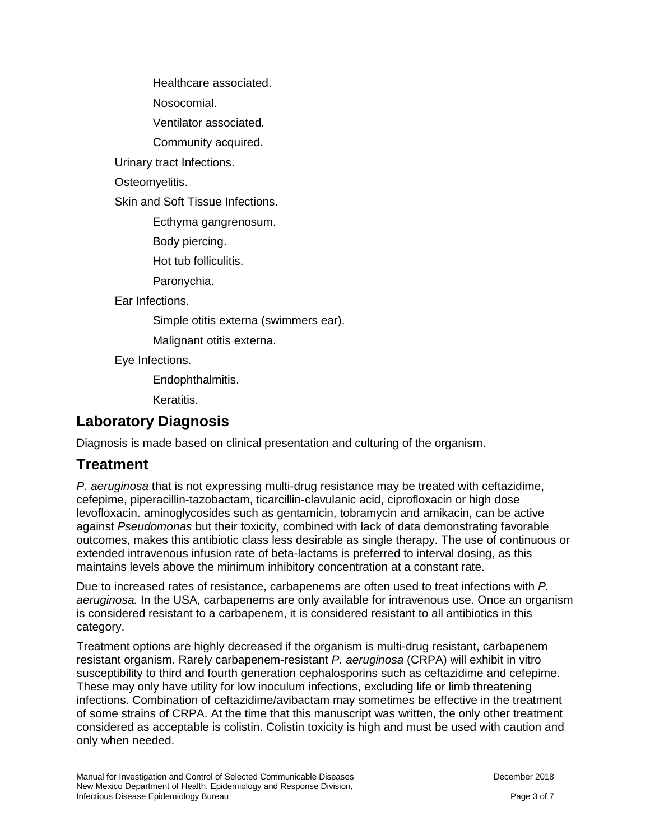Healthcare associated.

Nosocomial.

Ventilator associated.

Community acquired.

Urinary tract Infections.

Osteomyelitis.

Skin and Soft Tissue Infections.

Ecthyma gangrenosum.

Body piercing.

Hot tub folliculitis.

Paronychia.

Ear Infections.

Simple otitis externa (swimmers ear).

Malignant otitis externa.

Eye Infections.

Endophthalmitis.

Keratitis.

### **Laboratory Diagnosis**

Diagnosis is made based on clinical presentation and culturing of the organism.

### **Treatment**

*P. aeruginosa* that is not expressing multi-drug resistance may be treated with ceftazidime, cefepime, piperacillin-tazobactam, ticarcillin-clavulanic acid, ciprofloxacin or high dose levofloxacin. aminoglycosides such as gentamicin, tobramycin and amikacin, can be active against *Pseudomonas* but their toxicity, combined with lack of data demonstrating favorable outcomes, makes this antibiotic class less desirable as single therapy. The use of continuous or extended intravenous infusion rate of beta-lactams is preferred to interval dosing, as this maintains levels above the minimum inhibitory concentration at a constant rate.

Due to increased rates of resistance, carbapenems are often used to treat infections with *P. aeruginosa.* In the USA, carbapenems are only available for intravenous use. Once an organism is considered resistant to a carbapenem, it is considered resistant to all antibiotics in this category.

Treatment options are highly decreased if the organism is multi-drug resistant, carbapenem resistant organism. Rarely carbapenem-resistant *P. aeruginosa* (CRPA) will exhibit in vitro susceptibility to third and fourth generation cephalosporins such as ceftazidime and cefepime. These may only have utility for low inoculum infections, excluding life or limb threatening infections. Combination of ceftazidime/avibactam may sometimes be effective in the treatment of some strains of CRPA. At the time that this manuscript was written, the only other treatment considered as acceptable is colistin. Colistin toxicity is high and must be used with caution and only when needed.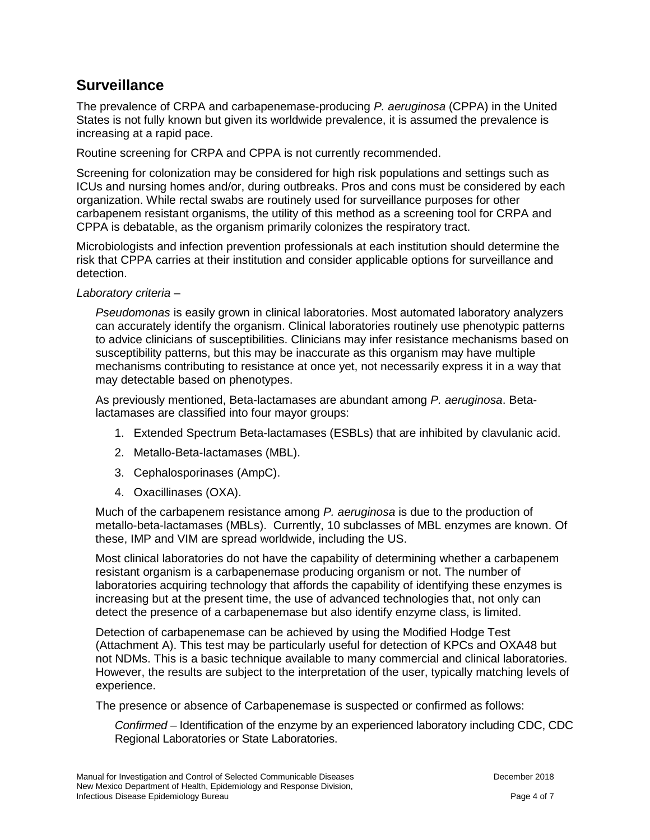### **Surveillance**

The prevalence of CRPA and carbapenemase-producing *P. aeruginosa* (CPPA) in the United States is not fully known but given its worldwide prevalence, it is assumed the prevalence is increasing at a rapid pace.

Routine screening for CRPA and CPPA is not currently recommended.

Screening for colonization may be considered for high risk populations and settings such as ICUs and nursing homes and/or, during outbreaks. Pros and cons must be considered by each organization. While rectal swabs are routinely used for surveillance purposes for other carbapenem resistant organisms, the utility of this method as a screening tool for CRPA and CPPA is debatable, as the organism primarily colonizes the respiratory tract.

Microbiologists and infection prevention professionals at each institution should determine the risk that CPPA carries at their institution and consider applicable options for surveillance and detection.

#### *Laboratory criteria* –

*Pseudomonas* is easily grown in clinical laboratories. Most automated laboratory analyzers can accurately identify the organism. Clinical laboratories routinely use phenotypic patterns to advice clinicians of susceptibilities. Clinicians may infer resistance mechanisms based on susceptibility patterns, but this may be inaccurate as this organism may have multiple mechanisms contributing to resistance at once yet, not necessarily express it in a way that may detectable based on phenotypes.

As previously mentioned, Beta-lactamases are abundant among *P. aeruginosa*. Betalactamases are classified into four mayor groups:

- 1. Extended Spectrum Beta-lactamases (ESBLs) that are inhibited by clavulanic acid.
- 2. Metallo-Beta-lactamases (MBL).
- 3. Cephalosporinases (AmpC).
- 4. Oxacillinases (OXA).

Much of the carbapenem resistance among *P. aeruginosa* is due to the production of metallo-beta-lactamases (MBLs). Currently, 10 subclasses of MBL enzymes are known. Of these, IMP and VIM are spread worldwide, including the US.

Most clinical laboratories do not have the capability of determining whether a carbapenem resistant organism is a carbapenemase producing organism or not. The number of laboratories acquiring technology that affords the capability of identifying these enzymes is increasing but at the present time, the use of advanced technologies that, not only can detect the presence of a carbapenemase but also identify enzyme class, is limited.

Detection of carbapenemase can be achieved by using the Modified Hodge Test (Attachment A). This test may be particularly useful for detection of KPCs and OXA48 but not NDMs. This is a basic technique available to many commercial and clinical laboratories. However, the results are subject to the interpretation of the user, typically matching levels of experience.

The presence or absence of Carbapenemase is suspected or confirmed as follows:

*Confirmed* – Identification of the enzyme by an experienced laboratory including CDC, CDC Regional Laboratories or State Laboratories.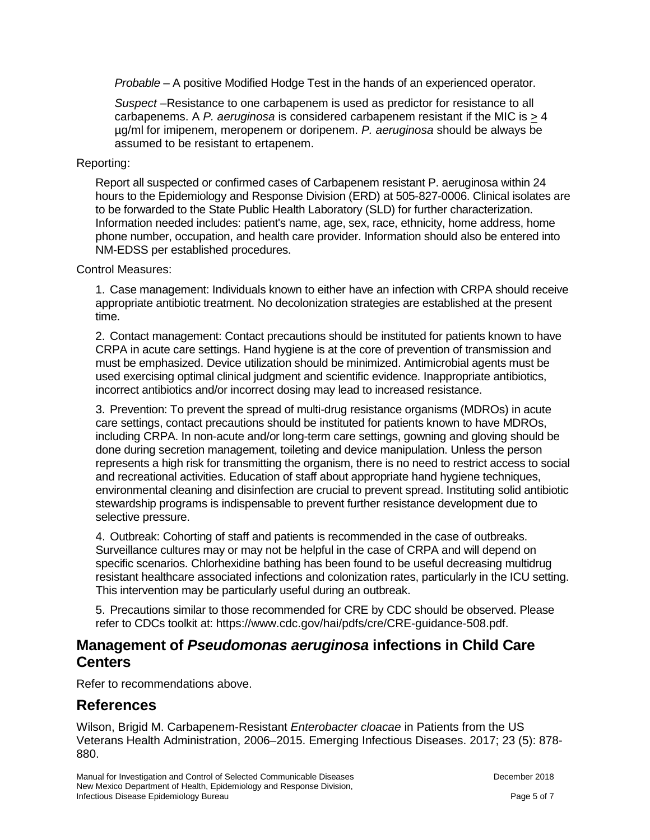*Probable* – A positive Modified Hodge Test in the hands of an experienced operator.

*Suspect* –Resistance to one carbapenem is used as predictor for resistance to all carbapenems. A *P. aeruginosa* is considered carbapenem resistant if the MIC is > 4 µg/ml for imipenem, meropenem or doripenem. *P. aeruginosa* should be always be assumed to be resistant to ertapenem.

#### Reporting:

Report all suspected or confirmed cases of Carbapenem resistant P. aeruginosa within 24 hours to the Epidemiology and Response Division (ERD) at 505-827-0006. Clinical isolates are to be forwarded to the State Public Health Laboratory (SLD) for further characterization. Information needed includes: patient's name, age, sex, race, ethnicity, home address, home phone number, occupation, and health care provider. Information should also be entered into NM-EDSS per established procedures.

#### Control Measures:

1. Case management: Individuals known to either have an infection with CRPA should receive appropriate antibiotic treatment. No decolonization strategies are established at the present time.

2. Contact management: Contact precautions should be instituted for patients known to have CRPA in acute care settings. Hand hygiene is at the core of prevention of transmission and must be emphasized. Device utilization should be minimized. Antimicrobial agents must be used exercising optimal clinical judgment and scientific evidence. Inappropriate antibiotics, incorrect antibiotics and/or incorrect dosing may lead to increased resistance.

3. Prevention: To prevent the spread of multi-drug resistance organisms (MDROs) in acute care settings, contact precautions should be instituted for patients known to have MDROs, including CRPA. In non-acute and/or long-term care settings, gowning and gloving should be done during secretion management, toileting and device manipulation. Unless the person represents a high risk for transmitting the organism, there is no need to restrict access to social and recreational activities. Education of staff about appropriate hand hygiene techniques, environmental cleaning and disinfection are crucial to prevent spread. Instituting solid antibiotic stewardship programs is indispensable to prevent further resistance development due to selective pressure.

4. Outbreak: Cohorting of staff and patients is recommended in the case of outbreaks. Surveillance cultures may or may not be helpful in the case of CRPA and will depend on specific scenarios. Chlorhexidine bathing has been found to be useful decreasing multidrug resistant healthcare associated infections and colonization rates, particularly in the ICU setting. This intervention may be particularly useful during an outbreak.

5. Precautions similar to those recommended for CRE by CDC should be observed. Please refer to CDCs toolkit at: https://www.cdc.gov/hai/pdfs/cre/CRE-guidance-508.pdf.

#### **Management of** *Pseudomonas aeruginosa* **infections in Child Care Centers**

Refer to recommendations above.

#### **References**

Wilson, Brigid M. Carbapenem-Resistant *Enterobacter cloacae* in Patients from the US Veterans Health Administration, 2006–2015. Emerging Infectious Diseases. 2017; 23 (5): 878- 880.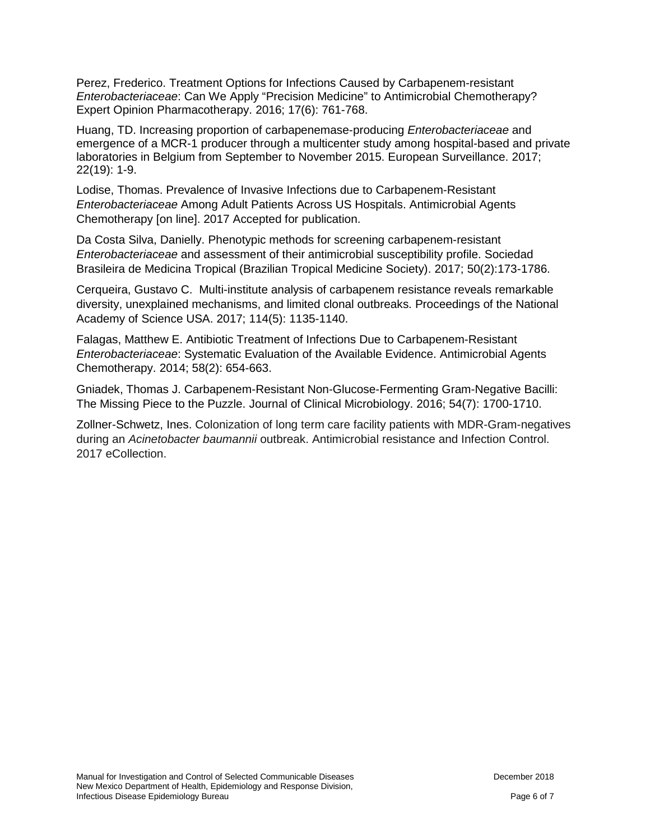Perez, Frederico. Treatment Options for Infections Caused by Carbapenem-resistant *Enterobacteriaceae*: Can We Apply "Precision Medicine" to Antimicrobial Chemotherapy? Expert Opinion Pharmacotherapy. 2016; 17(6): 761-768.

Huang, TD. Increasing proportion of carbapenemase-producing *Enterobacteriaceae* and emergence of a MCR-1 producer through a multicenter study among hospital-based and private laboratories in Belgium from September to November 2015. European Surveillance. 2017; 22(19): 1-9.

Lodise, Thomas. Prevalence of Invasive Infections due to Carbapenem-Resistant *Enterobacteriaceae* Among Adult Patients Across US Hospitals. Antimicrobial Agents Chemotherapy [on line]. 2017 Accepted for publication.

Da Costa Silva, Danielly. Phenotypic methods for screening carbapenem-resistant *Enterobacteriaceae* and assessment of their antimicrobial susceptibility profile. Sociedad Brasileira de Medicina Tropical (Brazilian Tropical Medicine Society). 2017; 50(2):173-1786.

Cerqueira, Gustavo C. Multi-institute analysis of carbapenem resistance reveals remarkable diversity, unexplained mechanisms, and limited clonal outbreaks. Proceedings of the National Academy of Science USA. 2017; 114(5): 1135-1140.

Falagas, Matthew E. Antibiotic Treatment of Infections Due to Carbapenem-Resistant *Enterobacteriaceae*: Systematic Evaluation of the Available Evidence. Antimicrobial Agents Chemotherapy. 2014; 58(2): 654-663.

Gniadek, Thomas J. Carbapenem-Resistant Non-Glucose-Fermenting Gram-Negative Bacilli: The Missing Piece to the Puzzle. Journal of Clinical Microbiology. 2016; 54(7): 1700-1710.

Zollner-Schwetz, Ines. Colonization of long term care facility patients with MDR-Gram-negatives during an *Acinetobacter baumannii* outbreak. Antimicrobial resistance and Infection Control. 2017 eCollection.